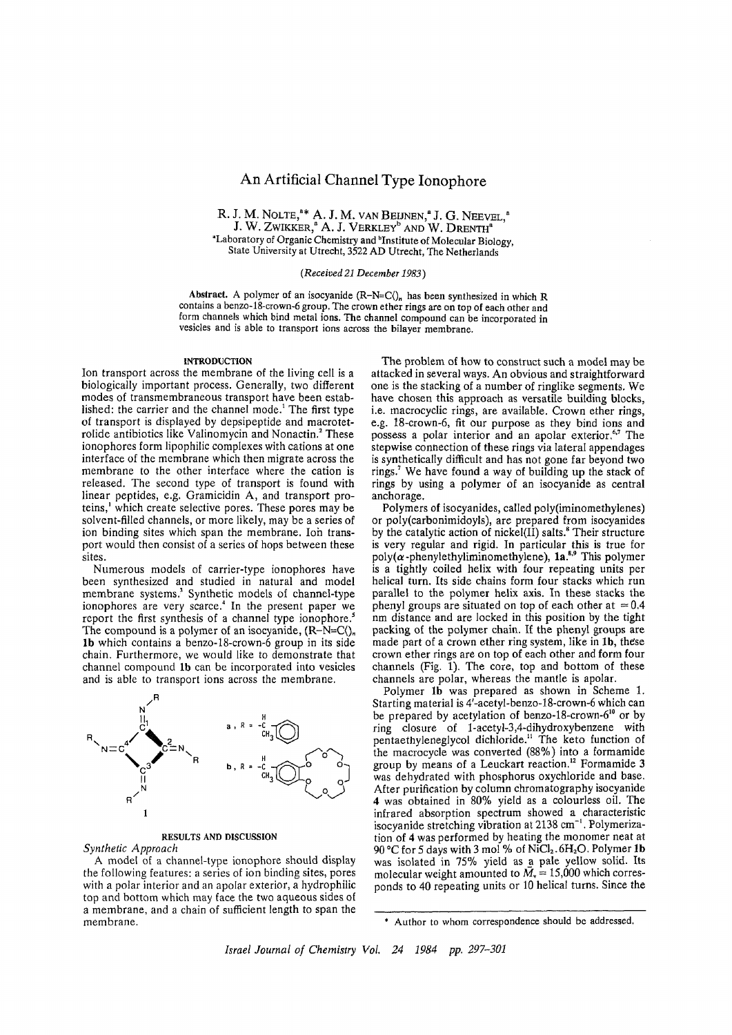# **An Artificial Channel Type lonophore**

R. J. M. NOLTE,"\* A. J. M. van Beijnen," J. G. Neevel," J. W. Zwikker," A. J. Verkley" and W. Drenth" "Laboratory of Organic Chemistry and "Institute of Molecular Biology, State University at Utrecht, 3522 AD Utrecht, The Netherlands

### *(Received 21 December 1983*)

Abstract. A polymer of an isocyanide  $(R-N=C\Lambda)$ , has been synthesized in which R contains a benzo-18-crown-6 group. The crown ether rings are on top of each other and form channels which bind metal ions. The channel compound can be incorporated in vesicles and is able to transport ions across the bilayer membrane.

#### **INTRODUCTION**

Ion transport across the membrane of the living cell is a biologically important process. Generally, two different modes of transmembraneous transport have been established: the carrier and the channel mode.<sup>1</sup> The first type of transport is displayed by depsipeptide and macrotetrolide antibiotics like Valinomycin and Nonactin.<sup>2</sup> These ionophores form lipophilic complexes with cations at one interface of the membrane which then migrate across the membrane to the other interface where the cation is released. The second type of transport is found with linear peptides, e.g. Gramicidin A, and transport proteins,' which create selective pores. These pores may be solvent-filled channels, or more likely, may be a series of ion binding sites which span the membrane. Ion transport would then consist of a series of hops between these sites.

Numerous models of carrier-type ionophores have been synthesized and studied in natural and model membrane systems.<sup>3</sup> Synthetic models of channel-type ionophores are very scarce.<sup>4</sup> In the present paper we report the first synthesis of a channel type ionophore.<sup>3</sup> The compound is a polymer of an isocyanide,  $(R-N=C\Lambda)_{n}$ 1b which contains a benzo-18-crown-6 group in its side chain. Furthermore, we would like to demonstrate that channel compound 1b can be incorporated into vesicles and is able to transport ions across the membrane.



# **RESULTS AND DISCUSSION**

*Synthetic Approach*

A model of a channel-type ionophore should display the following features: a series of ion binding sites, pores with a polar interior and an apolar exterior, a hydrophilic top and bottom which may face the two aqueous sides of a membrane, and a chain of sufficient length to span the membrane.

The problem of how to construct such a model may be attacked in several ways. An obvious and straightforward one is the stacking of a number of ringlike segments. We have chosen this approach as versatile building blocks, i.e. macrocyclic rings, are available. Crown ether rings, e.g. 18-crown-6, fit our purpose as they bind ions and possess a polar interior and an apolar exterior.<sup>67</sup> The stepwise connection of these rings via lateral appendages is synthetically difficult and has not gone far beyond two rings.<sup>7</sup> We have found a way of building up the stack of rings by using a polymer of an isocyanide as central anchorage.

Polymers of isocyanides, called poly(iminomethylenes) or poly(carbonimidoyls), are prepared from isocyanides by the catalytic action of nickel(II) salts.<sup>8</sup> Their structure is very regular and rigid. In particular this is true for  $poly(\alpha$ -phenylethyliminomethylene), la.<sup>8,9</sup> This polymer is a tightly coiled helix with four repeating units per helical turn. Its side chains form four stacks which run parallel to the polymer helix axis. In these stacks the phenyl groups are situated on top of each other at  $= 0.4$ nm distance and are locked in this position by the tight packing of the polymer chain. If the phenyl groups are made part of a crown ether ring system, like in 1b, these crown ether rings are on top of each other and form four channels (Fig.  $1$ ). The core, top and bottom of these channels are polar, whereas the mantle is apolar.

Polymer 1b was prepared as shown in Scheme 1. Starting material is 4'-acetyl-benzo-18-crown-6 which can be prepared by acetylation of benzo-18-crown- $6^{10}$  or by ring closure of l-acetyl-3,4-dihydro xybenzene with pentaethyleneglycol dichloride.<sup>11</sup> The keto function of the macrocycle was converted (88%) into a formamide group by means of a Leuckart reaction.<sup>12</sup> Formamide 3 was dehydrated with phosphorus oxychloride and base. After purification by column chromatography isocyanide 4 was obtained in 80% yield as a colourless oil. The infrared absorption spectrum showed a characteristic isocyanide stretching vibration at 2138 cm<sup>-1</sup>. Polymerization of 4 was performed by heating the monomer neat at 90 °C for 5 days with 3 mol % of NiCl<sub>2</sub>.  $6H_2O$ . Polymer 1b was isolated in 75% yield as a pale yellow solid. Its molecular weight amounted to  $M<sub>v</sub> = 15,000$  which corresponds to 40 repeating units or 10 helical turns. Since the

<sup>\*</sup> Author to whom correspondence should be addressed.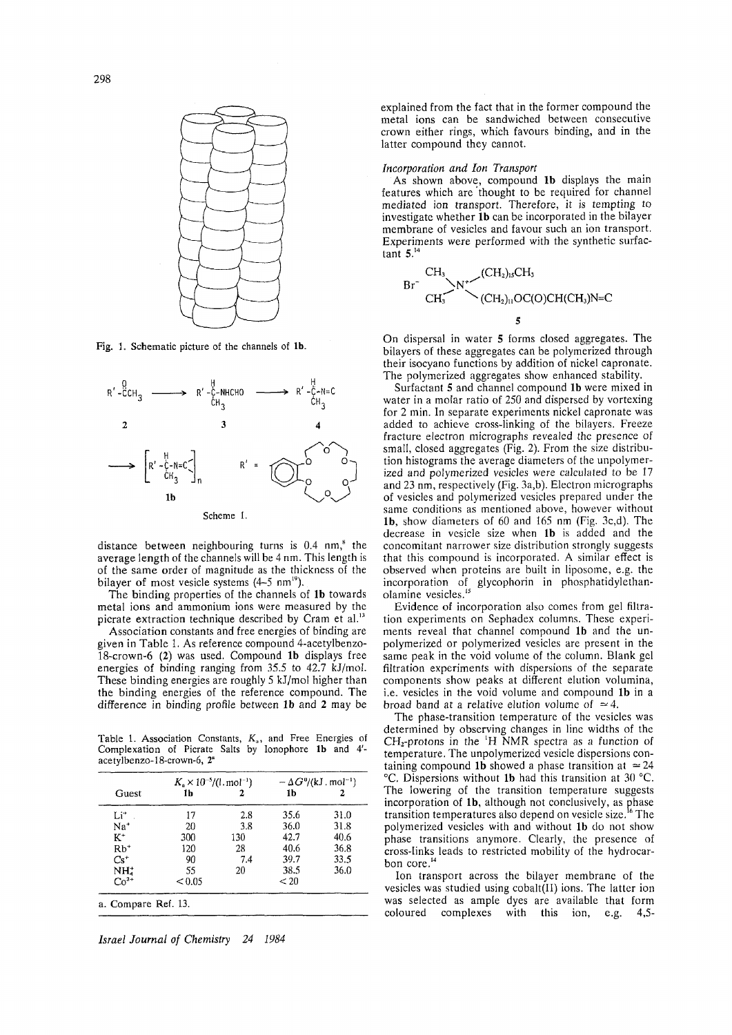

Fig. 1. Schematic picture of the channels of 1b.



distance between neighbouring turns is  $0.4 \text{ nm}$ , the average length of the channels will be 4 nm. This length is of the same order of magnitude as the thickness of the bilayer of most vesicle systems (4–5 nm<sup>19</sup>).

The binding properties of the channels of 1b towards metal ions and ammonium ions were measured by the picrate extraction technique described by Cram et al.<sup>13</sup>

Association constants and free energies of binding are given in Table 1. As reference compound 4-acetylbenzo-18-crown-6 (2) was used. Compound 1b displays free energies of binding ranging from 35.5 to 42.7 kJ/mol. These binding energies are roughly 5 kJ/mol higher than the binding energies of the reference compound. The difference in binding profile between 1b and 2 may be

Table 1. Association Constants,  $K_a$ , and Free Energies of Complexation of Picrate Salts by Ionophore 1b and 4'acetylbenzo-18-crown-6, 2ª

| Guest           | $K_a \times 10^{-5}/(1 \text{ mol}^{-1})$ |     | $-\Delta G^0/(kJ \cdot mol^{-1})$ |      |
|-----------------|-------------------------------------------|-----|-----------------------------------|------|
|                 | 1h                                        |     | 1b                                |      |
| $Li^*$          | 17                                        | 2.8 | 35.6                              | 31.0 |
| Na <sup>+</sup> | 20                                        | 3.8 | 36.0                              | 31.8 |
| $K^+$           | 300                                       | 130 | 42.7                              | 40.6 |
| $Rb^*$          | 120                                       | 28  | 40.6                              | 36.8 |
| $Cs^+$          | 90                                        | 7.4 | 39.7                              | 33.5 |
| $NHa+$          | 55                                        | 20  | 38.5                              | 36.0 |
| $Co^{2+}$       | < 0.05                                    |     | < 20                              |      |

Israel Journal of Chemistry 24 1984 explained from the fact that in the former compound the metal ions can be sandwiched between consecutive crown either rings, which favours binding, and in the latter compound they cannot.

## Incorporation and Ion Transport

As shown above, compound 1b displays the main features which are thought to be required for channel mediated ion transport. Therefore, it is tempting to investigate whether 1b can be incorporated in the bilayer membrane of vesicles and favour such an ion transport. Experiments were performed with the synthetic surfactant  $5.^{14}$ 

 $\overline{5}$ 

On dispersal in water 5 forms closed aggregates. The bilayers of these aggregates can be polymerized through their isocyano functions by addition of nickel capronate. The polymerized aggregates show enhanced stability.

Surfactant 5 and channel compound 1b were mixed in water in a molar ratio of 250 and dispersed by vortexing for 2 min. In separate experiments nickel capronate was added to achieve cross-linking of the bilayers. Freeze fracture electron micrographs revealed the presence of small, closed aggregates (Fig. 2). From the size distribution histograms the average diameters of the unpolymerized and polymerized vesicles were calculated to be 17 and 23 nm, respectively (Fig. 3a,b). Electron micrographs of vesicles and polymerized vesicles prepared under the same conditions as mentioned above, however without 1b, show diameters of 60 and 165 nm (Fig. 3c,d). The decrease in vesicle size when 1b is added and the concomitant narrower size distribution strongly suggests that this compound is incorporated. A similar effect is observed when proteins are built in liposome, e.g. the incorporation of glycophorin in phosphatidylethanolamine vesicles.<sup>15</sup>

Evidence of incorporation also comes from gel filtration experiments on Sephadex columns. These experiments reveal that channel compound 1b and the unpolymerized or polymerized vesicles are present in the same peak in the void volume of the column. Blank gel filtration experiments with dispersions of the separate components show peaks at different elution volumina, i.e. vesicles in the void volume and compound 1b in a broad band at a relative elution volume of  $\approx 4$ .

The phase-transition temperature of the vesicles was determined by observing changes in line widths of the  $CH<sub>2</sub>$ -protons in the <sup>1</sup>H NMR spectra as a function of temperature. The unpolymerized vesicle dispersions containing compound 1b showed a phase transition at  $\simeq 24$ °C. Dispersions without 1b had this transition at 30 °C. The lowering of the transition temperature suggests incorporation of 1b, although not conclusively, as phase transition temperatures also depend on vesicle size.<sup>1</sup> ' The polymerized vesicles with and without 1b do not show phase transitions anymore. Clearly, the presence of cross-links leads to restricted mobility of the hydrocarbon core.<sup>1</sup>

Ion transport across the bilayer membrane of the vesicles was studied using cobalt(II) ions. The latter ion was selected as ample dyes are available that form coloured complexes with this ion, e.g.  $4.5 -$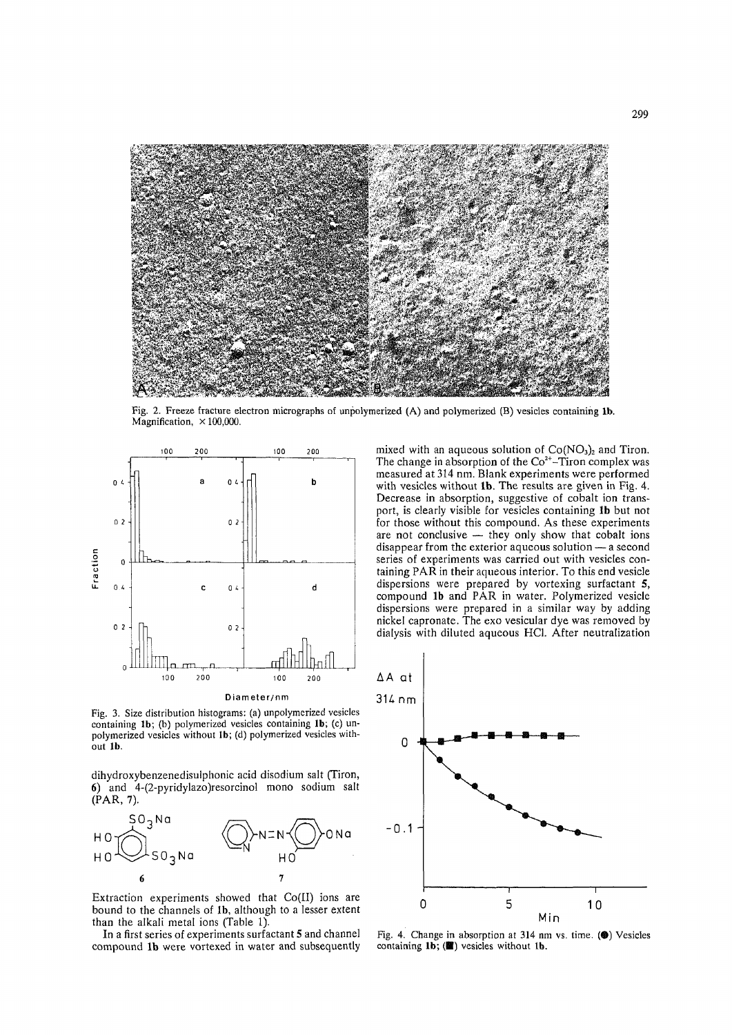

Fig. 2. Freeze fracture electron micrographs of unpolymerized (A) and polymerized (B) vesicles containing 1b. Magnification,  $\times$  100,000.



Fig. 3. Size distribution histograms: (a) unpolymerized vesicles containing 1b; (b) polymerized vesicles containing 1b; (c) unpolymerized vesicles without 1b; (d) polymerized vesicles without 1b.

dihydroxybenzenedisulphonic acid disodium salt (Tiron, 6) and 4-(2-pyridylazo) resorcinol mono sodium salt  $(PAR, 7)$ .



Extraction experiments showed that Co(II) ions are bound to the channels of 1b, although to a lesser extent than the alkali metal ions (Table 1).

In a first series of experiments surfactant 5 and channel compound 1b were vortexed in water and subsequently mixed with an aqueous solution of  $Co(NO<sub>3</sub>)<sub>2</sub>$  and Tiron.<br>The change in absorption of the  $Co<sup>2+</sup>-Tiron$  complex was measured at 314 nm. Blank experiments were performed with vesicles without 1b. The results are given in Fig. 4. Decrease in absorption, suggestive of cobalt ion transport, is clearly visible for vesicles containing 1b but not for those without this compound. As these experiments are not conclusive — they only show that cobalt ions disappear from the exterior aqueous solution - a second series of experiments was carried out with vesicles containing PAR in their aqueous interior. To this end vesicle dispersions were prepared by vortexing surfactant 5, compound 1b and PAR in water. Polymerized vesicle dispersions were prepared in a similar way by adding nickel capronate. The exo vesicular dye was removed by dialysis with diluted aqueous HCl. After neutralization



Fig. 4. Change in absorption at 314 nm vs. time. (@) Vesicles containing 1b; () vesicles without 1b.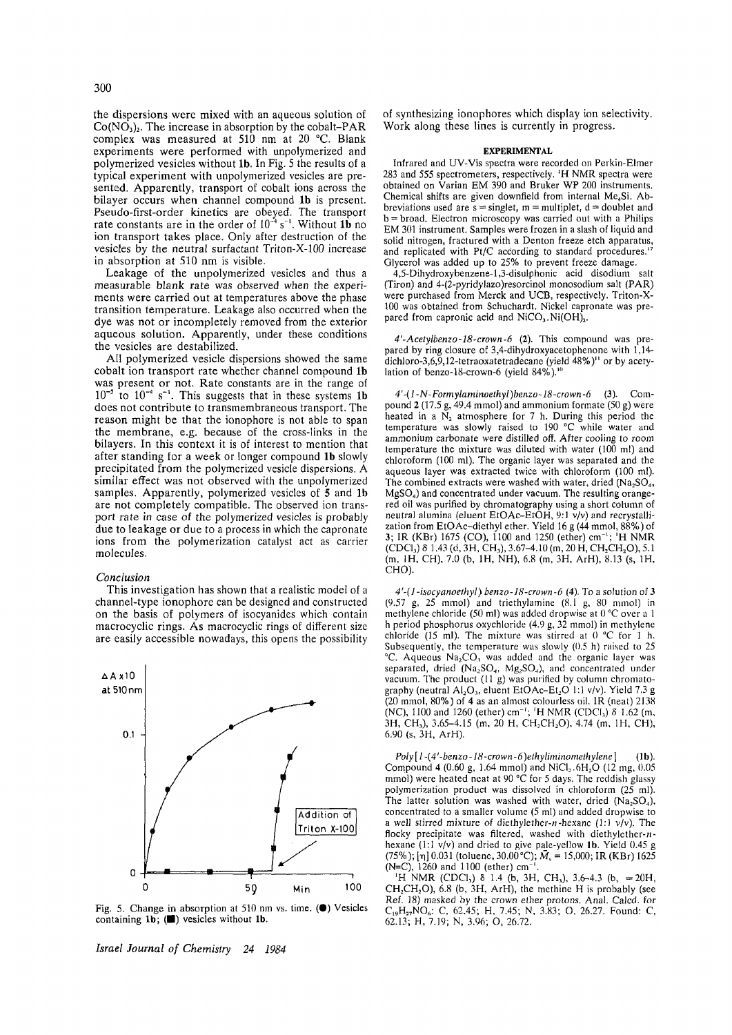the dispersions were mixed with an aqueous solution of  $Co(NO<sub>3</sub>)<sub>2</sub>$ . The increase in absorption by the cobalt-PAR complex was measured at 510 nm at 20 °C. Blank experiments were performed with unpolymerized and polymerized vesicles without 1b. In Fig. 5 the results of a typical experiment with unpolymerized vesicles are presented. Apparently, transport of cobalt ions across the bilayer occurs when channel compound 1b is present. Pseudo-first-order kinetics are obeyed. The transport rate constants are in the order of  $10^{-4}$  s<sup>-1</sup>. Without 1**b** no ion transport takes place. Only after destruction of the vesicles by the neutral surfactant Triton-X-100 increase in absorption at 510 nm is visible.

Leakage of the unpolymerized vesicles and thus a measurable blank rate was observed when the experiments were carried out at temperatures above the phase transition temperature. Leakage also occurred when the dye was not or incompletely removed from the exterior aqueous solution. Apparently, under these conditions the vesicles are destabilized.

All polymerized vesicle dispersions showed the same cobalt ion transport rate whether channel compound 1b was present or not. Rate constants are in the range of  $10^{-5}$  to  $10^{-4}$  s<sup>-1</sup>. This suggests that in these systems 1b does not contribute to transmembraneous transport. The reason might be that the ionophore is not able to span the membrane, e.g. because of the cross-links in the bilayers. In this context it is of interest to mention that after standing for a week or longer compound 1b slowly precipitated from the polymerized vesicle dispersions. A similar effect was not observed with the unpolymerized samples. Apparently, polymerized vesicles of 5 and 1b are not completely compatible. The observed ion transport rate in case of the polymerized vesicles is probably due to leakage or due to a process in which the capronate ions from the polymerization catalyst act as carrier molecules.

# *C onclusion*

This investigation has shown that a realistic model of a channel-type ionophore can be designed and constructed on the basis of polymers of isocyanides which contain macrocyclic rings. As macrocyclic rings of different size are easily accessible nowadays, this opens the possibility



Fig. 5. Change in absorption at 510 nm vs. time. (.) Vesicles containing 1b; ( $\blacksquare$ ) vesicles without 1b.

*Israel Journal of Chemistry 24 1984* 

of synthesizing ionophores which display ion selectivity. Work along these lines is currently in progress.

#### **EXPERIMENTAL**

Infrared and UV-V is spectra were recorded on Perkin-Elmer 283 and 555 spectrometers, respectively. <sup>1</sup>H NMR spectra were obtained on Varian EM 390 and Bruker WP 200 instruments. Chemical shifts are given downfield from internal  $Me<sub>4</sub>Si$ . Abbreviations used are  $s =$  singlet, m = multiplet, d = doublet and b = broad. Electron microscopy was carried out with a Philips EM 301 instrument. Samples were frozen in a slash of liquid and solid nitrogen, fractured with a Denton freeze etch apparatus, and replicated with Pt/C according to standard procedures.<sup>4</sup> Glycerol was added up to 25% to prevent freeze damage.

4,5-D ihydroxybenzene-l,3-disulphonic acid disodium salt (Tiron) and 4-(2-pyridylazo)resorcinol monosodium salt (PAR) were purchased from Merck and UCB, respectively. Triton-X-100 was obtained from Schuchardt. Nickel capronate was prepared from capronic acid and  $NiCO<sub>3</sub>$ . Ni(OH)<sub>2</sub>.

4'-Acetylbenzo-18-crown-6 (2). This compound was prepared by ring closure of 3,4-dihydroxyacetophenone with  $1,14$ dichloro-3,6,9,12-tetraoxatetradecane (yield 48% )" or by acetylation of benzo-18-crown-6 (yield  $84\%$ ).<sup>10</sup>

*4'-(l-N-Formylaminoethyl)benzo-18-crown-6* (3). C om pound 2 (17.5 g, 49.4 mmol) and ammonium formate (50 g) were heated in a  $N_2$  atmosphere for 7 h. During this period the temperature was slowly raised to 190 °C while water and ammonium carbonate were distilled off. After cooling to room temperature the mixture was diluted with water  $(100 \text{ ml})$  and chloroform (100 ml). The organic layer was separated and the aqueous layer was extracted twice with chloroform (100 ml). The combined extracts were washed with water, dried (Na<sub>2</sub>SO<sub>4</sub>,  $M g SO<sub>4</sub>$ ) and concentrated under vacuum. The resulting orangered oil was purified by chromatography using a short column of neutral alumina (eluent EtOAc-EtOH, 9:1  $v/v$ ) and recrystallization from EtOAc-diethyl ether. Yield 16 g (44 mmol, 88%) of 3; IR (KBr) 1675 (CO), 1100 and 1250 (ether) cm<sup>-1</sup>; <sup>1</sup>H NMR  $(CDCI<sub>3</sub>)$   $\delta$  1.43 (d, 3H, CH<sub>3</sub>), 3.67-4.10 (m, 20 H, CH<sub>2</sub>CH<sub>2</sub>O), 5.1 (m, 1H, CH), 7.0 (b, 1H, NH), 6.8 (m, 3H, ArH), 8.13 (s, 1H, CHO).

*4'-(]-isocyanoethyl) benzo-18-crown-fi* **(4).** To *a* solution of 3 (9.57 g, 25 mmol) and triethylamine (8.1 g, 80 mmol) in methylene chloride (50 ml) was added dropwise at 0 °C over a 1 h period phosphorus oxychloride  $(4.9 g, 32 mmol)$  in methylene chloride (15 ml). The mixture was stirred at  $0 °C$  for 1 h. Subsequently, the temperature was slowly  $(0.5 \text{ h})$  raised to 25 <sup>o</sup>C. Aqueous Na<sub>2</sub>CO<sub>3</sub> was added and the organic layer was separated, dried ( $Na<sub>2</sub>SO<sub>4</sub>$ , Mg<sub>2</sub>SO<sub>4</sub>), and concentrated under vacuum. The product  $(11 g)$  was purified by column chromatography (neutral Al<sub>2</sub>O<sub>3</sub>, eluent EtOAc-Et<sub>2</sub>O 1:1 v/v). Yield 7.3 g (20 m m ol, 80% ) of **4** as an alm ost colourless oil. IR (neat) 2138 (NC), 1100 and 1260 (ether) cm<sup>-1</sup>; <sup>1</sup>H NMR (CDCI<sub>3</sub>) δ 1.62 (m, 3H, CH<sub>3</sub>), 3.65–4.15 (m, 20 H, CH<sub>2</sub>CH<sub>2</sub>O), 4.74 (m, 1H, CH), 6.90 (s, 3H, ArH).

*Poty[I -(4'-benzo-18-crown-6)elhyHminomethylene]* **(lb).** Compound 4 (0.60 g, 1.64 mmol) and NiCl<sub>2</sub>.6H<sub>2</sub>O (12 mg, 0.05 mmol) were heated neat at 90  $\degree$ C for 5 days. The reddish glassy polymerization product was dissolved in chloroform  $(25 \text{ ml})$ . The latter solution was washed with water, dried  $(Na_2SO_4)$ , concentrated to a smaller volume (5 ml) and added dropwise to a well stirred mixture of diethylether-n-hexane (1:1  $v/v$ ). The flocky precipitate was filtered, washed with diethylether- $n$ hexane (1:1 v/v) and dried to give pale-yellow 1b. Yield 0.45 g (75%);  $[\eta]$  0.031 (toluene, 30.00°C);  $\bar{M}_{v}$  = 15,000; IR (KBr) 1625 (N=C), 1260 and 1100 (ether) cm

 $H \text{ NMR (CDCl}_3) \delta 1.4$  (b, 3H, CH<sub>3</sub>), 3.6–4.3 (b,  $\simeq 20$ H,  $CH<sub>2</sub>CH<sub>2</sub>O$ ), 6.8 (b, 3H, ArH), the methine H is probably (see Ref. 18) masked by the crown ether protons. Anal. Calcd. for C<sub>19</sub>H<sub>27</sub>NO<sub>6</sub>: C, 62.45; H, 7.45; N, 3.83; O, 26.27. Found: C, 62.13; H, 7.19; N, 3.96; O, 26.72.